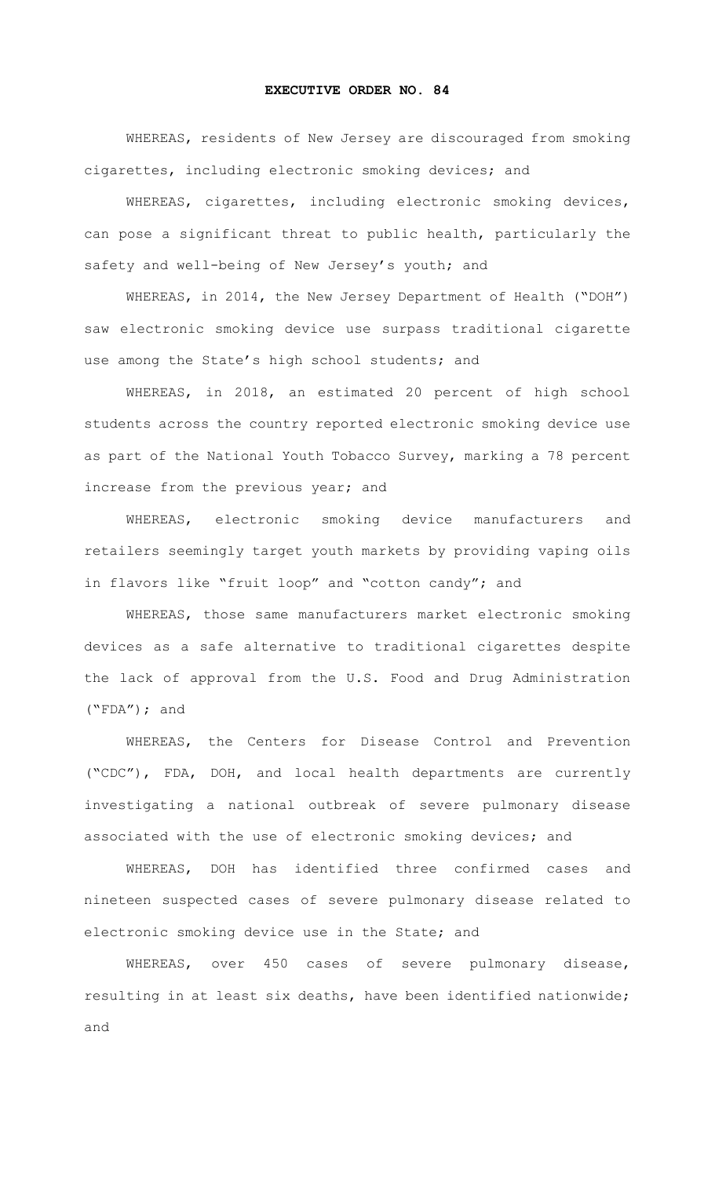## **EXECUTIVE ORDER NO. 84**

WHEREAS, residents of New Jersey are discouraged from smoking cigarettes, including electronic smoking devices; and

WHEREAS, cigarettes, including electronic smoking devices, can pose a significant threat to public health, particularly the safety and well-being of New Jersey's youth; and

WHEREAS, in 2014, the New Jersey Department of Health ("DOH") saw electronic smoking device use surpass traditional cigarette use among the State's high school students; and

WHEREAS, in 2018, an estimated 20 percent of high school students across the country reported electronic smoking device use as part of the National Youth Tobacco Survey, marking a 78 percent increase from the previous year; and

WHEREAS, electronic smoking device manufacturers and retailers seemingly target youth markets by providing vaping oils in flavors like "fruit loop" and "cotton candy"; and

WHEREAS, those same manufacturers market electronic smoking devices as a safe alternative to traditional cigarettes despite the lack of approval from the U.S. Food and Drug Administration ("FDA"); and

WHEREAS, the Centers for Disease Control and Prevention ("CDC"), FDA, DOH, and local health departments are currently investigating a national outbreak of severe pulmonary disease associated with the use of electronic smoking devices; and

WHEREAS, DOH has identified three confirmed cases and nineteen suspected cases of severe pulmonary disease related to electronic smoking device use in the State; and

WHEREAS, over 450 cases of severe pulmonary disease, resulting in at least six deaths, have been identified nationwide; and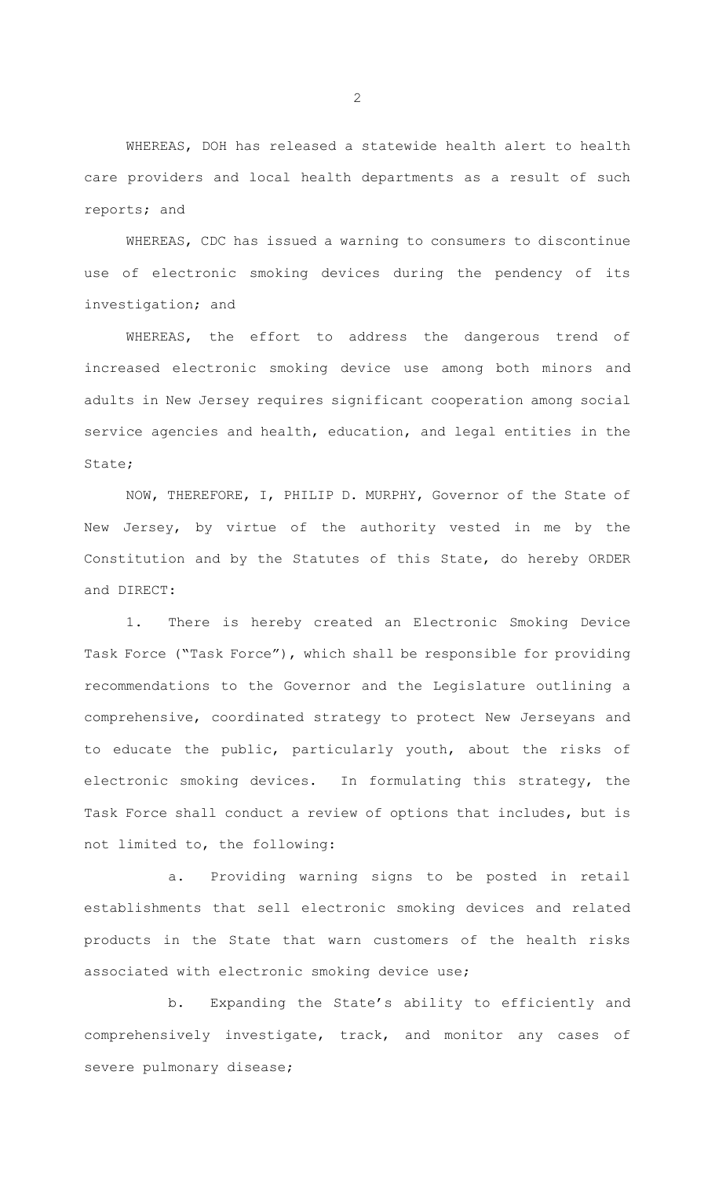WHEREAS, DOH has released a statewide health alert to health care providers and local health departments as a result of such reports; and

WHEREAS, CDC has issued a warning to consumers to discontinue use of electronic smoking devices during the pendency of its investigation; and

WHEREAS, the effort to address the dangerous trend of increased electronic smoking device use among both minors and adults in New Jersey requires significant cooperation among social service agencies and health, education, and legal entities in the State;

NOW, THEREFORE, I, PHILIP D. MURPHY, Governor of the State of New Jersey, by virtue of the authority vested in me by the Constitution and by the Statutes of this State, do hereby ORDER and DIRECT:

1. There is hereby created an Electronic Smoking Device Task Force ("Task Force"), which shall be responsible for providing recommendations to the Governor and the Legislature outlining a comprehensive, coordinated strategy to protect New Jerseyans and to educate the public, particularly youth, about the risks of electronic smoking devices. In formulating this strategy, the Task Force shall conduct a review of options that includes, but is not limited to, the following:

a. Providing warning signs to be posted in retail establishments that sell electronic smoking devices and related products in the State that warn customers of the health risks associated with electronic smoking device use;

b. Expanding the State's ability to efficiently and comprehensively investigate, track, and monitor any cases of severe pulmonary disease;

2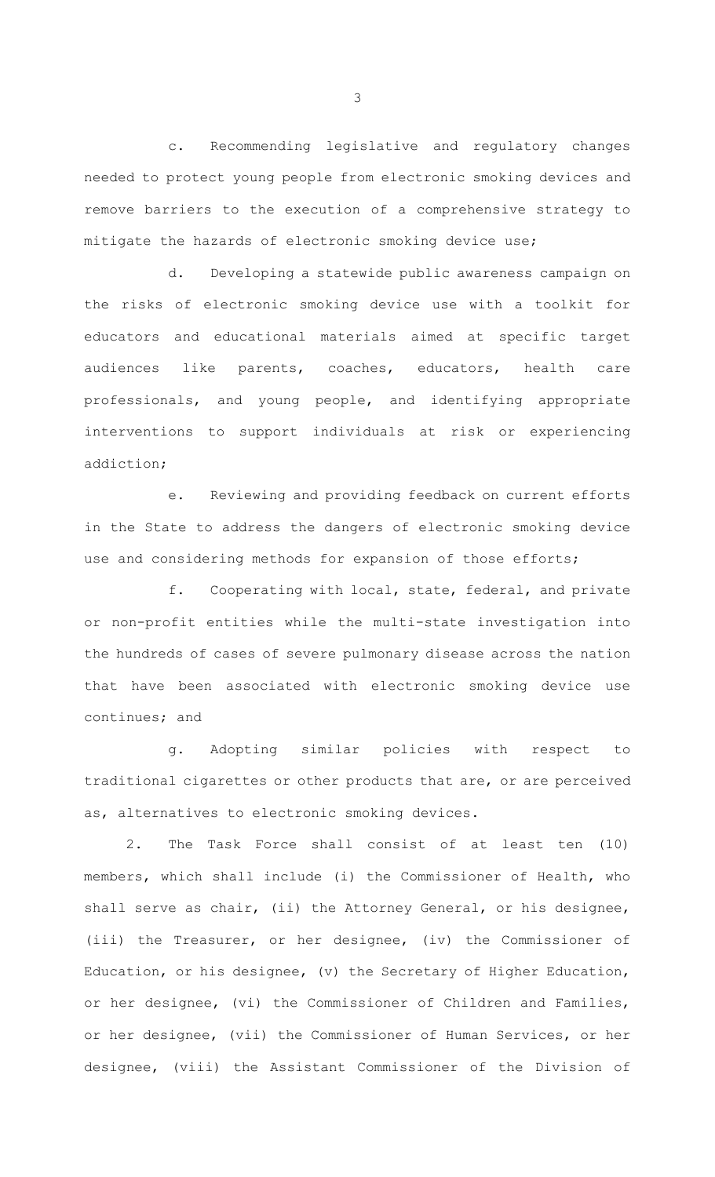c. Recommending legislative and regulatory changes needed to protect young people from electronic smoking devices and remove barriers to the execution of a comprehensive strategy to mitigate the hazards of electronic smoking device use;

d. Developing a statewide public awareness campaign on the risks of electronic smoking device use with a toolkit for educators and educational materials aimed at specific target audiences like parents, coaches, educators, health care professionals, and young people, and identifying appropriate interventions to support individuals at risk or experiencing addiction;

e. Reviewing and providing feedback on current efforts in the State to address the dangers of electronic smoking device use and considering methods for expansion of those efforts;

f. Cooperating with local, state, federal, and private or non-profit entities while the multi-state investigation into the hundreds of cases of severe pulmonary disease across the nation that have been associated with electronic smoking device use continues; and

g. Adopting similar policies with respect to traditional cigarettes or other products that are, or are perceived as, alternatives to electronic smoking devices.

2. The Task Force shall consist of at least ten (10) members, which shall include (i) the Commissioner of Health, who shall serve as chair, (ii) the Attorney General, or his designee, (iii) the Treasurer, or her designee, (iv) the Commissioner of Education, or his designee, (v) the Secretary of Higher Education, or her designee, (vi) the Commissioner of Children and Families, or her designee, (vii) the Commissioner of Human Services, or her designee, (viii) the Assistant Commissioner of the Division of

3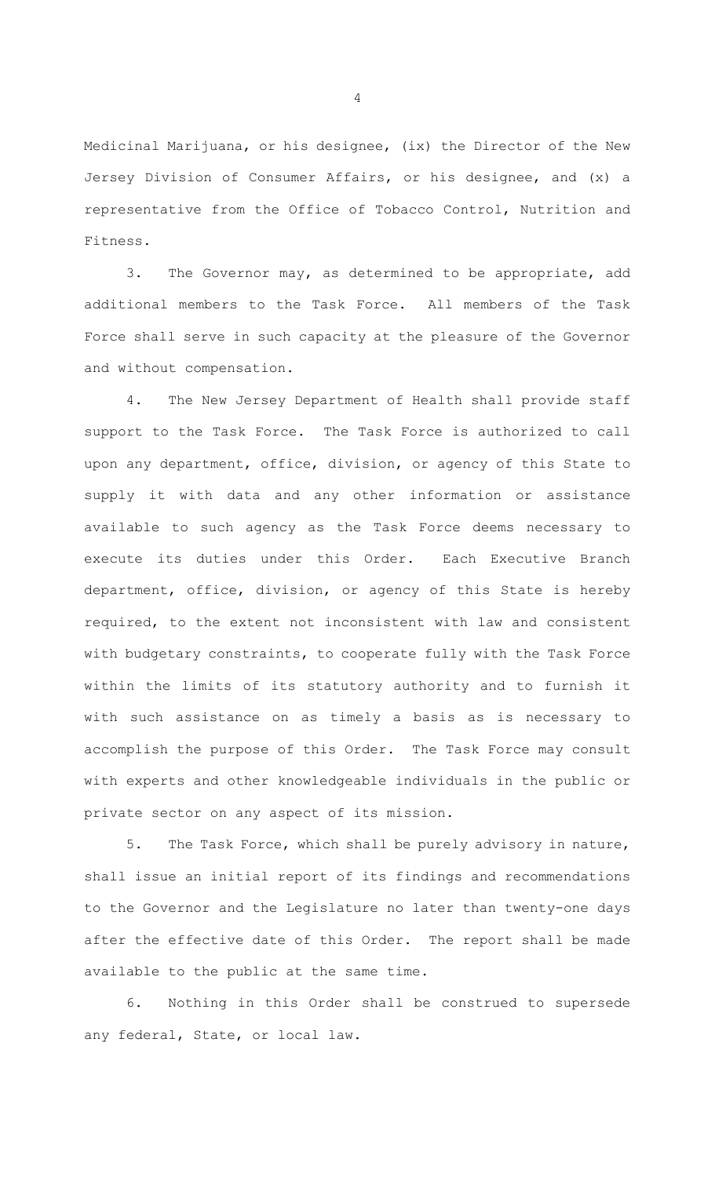Medicinal Marijuana, or his designee, (ix) the Director of the New Jersey Division of Consumer Affairs, or his designee, and (x) a representative from the Office of Tobacco Control, Nutrition and Fitness.

3. The Governor may, as determined to be appropriate, add additional members to the Task Force. All members of the Task Force shall serve in such capacity at the pleasure of the Governor and without compensation.

4. The New Jersey Department of Health shall provide staff support to the Task Force. The Task Force is authorized to call upon any department, office, division, or agency of this State to supply it with data and any other information or assistance available to such agency as the Task Force deems necessary to execute its duties under this Order. Each Executive Branch department, office, division, or agency of this State is hereby required, to the extent not inconsistent with law and consistent with budgetary constraints, to cooperate fully with the Task Force within the limits of its statutory authority and to furnish it with such assistance on as timely a basis as is necessary to accomplish the purpose of this Order. The Task Force may consult with experts and other knowledgeable individuals in the public or private sector on any aspect of its mission.

5. The Task Force, which shall be purely advisory in nature, shall issue an initial report of its findings and recommendations to the Governor and the Legislature no later than twenty-one days after the effective date of this Order. The report shall be made available to the public at the same time.

6. Nothing in this Order shall be construed to supersede any federal, State, or local law.

4